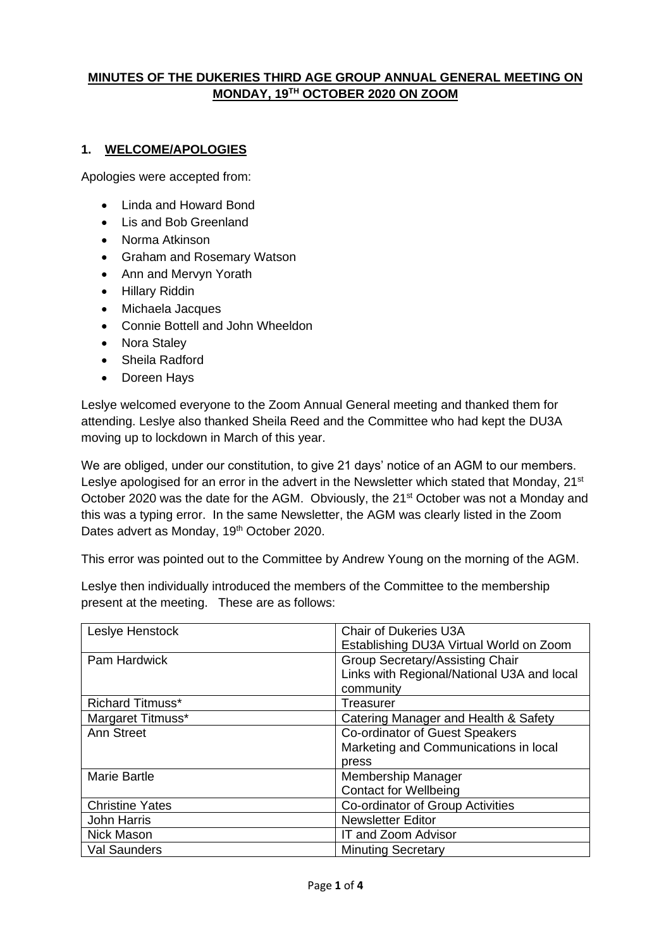### **MINUTES OF THE DUKERIES THIRD AGE GROUP ANNUAL GENERAL MEETING ON MONDAY, 19TH OCTOBER 2020 ON ZOOM**

### **1. WELCOME/APOLOGIES**

Apologies were accepted from:

- Linda and Howard Bond
- Lis and Bob Greenland
- Norma Atkinson
- Graham and Rosemary Watson
- Ann and Mervyn Yorath
- Hillary Riddin
- Michaela Jacques
- Connie Bottell and John Wheeldon
- Nora Staley
- Sheila Radford
- Doreen Hays

Leslye welcomed everyone to the Zoom Annual General meeting and thanked them for attending. Leslye also thanked Sheila Reed and the Committee who had kept the DU3A moving up to lockdown in March of this year.

We are obliged, under our constitution, to give 21 days' notice of an AGM to our members. Leslye apologised for an error in the advert in the Newsletter which stated that Monday, 21<sup>st</sup> October 2020 was the date for the AGM. Obviously, the 21<sup>st</sup> October was not a Monday and this was a typing error. In the same Newsletter, the AGM was clearly listed in the Zoom Dates advert as Monday, 19<sup>th</sup> October 2020.

This error was pointed out to the Committee by Andrew Young on the morning of the AGM.

Leslye then individually introduced the members of the Committee to the membership present at the meeting. These are as follows:

| Leslye Henstock         | Chair of Dukeries U3A                      |
|-------------------------|--------------------------------------------|
|                         | Establishing DU3A Virtual World on Zoom    |
| Pam Hardwick            | <b>Group Secretary/Assisting Chair</b>     |
|                         | Links with Regional/National U3A and local |
|                         | community                                  |
| <b>Richard Titmuss*</b> | Treasurer                                  |
| Margaret Titmuss*       | Catering Manager and Health & Safety       |
| <b>Ann Street</b>       | Co-ordinator of Guest Speakers             |
|                         | Marketing and Communications in local      |
|                         | press                                      |
| <b>Marie Bartle</b>     | Membership Manager                         |
|                         | <b>Contact for Wellbeing</b>               |
| <b>Christine Yates</b>  | Co-ordinator of Group Activities           |
| <b>John Harris</b>      | <b>Newsletter Editor</b>                   |
| Nick Mason              | IT and Zoom Advisor                        |
| <b>Val Saunders</b>     | <b>Minuting Secretary</b>                  |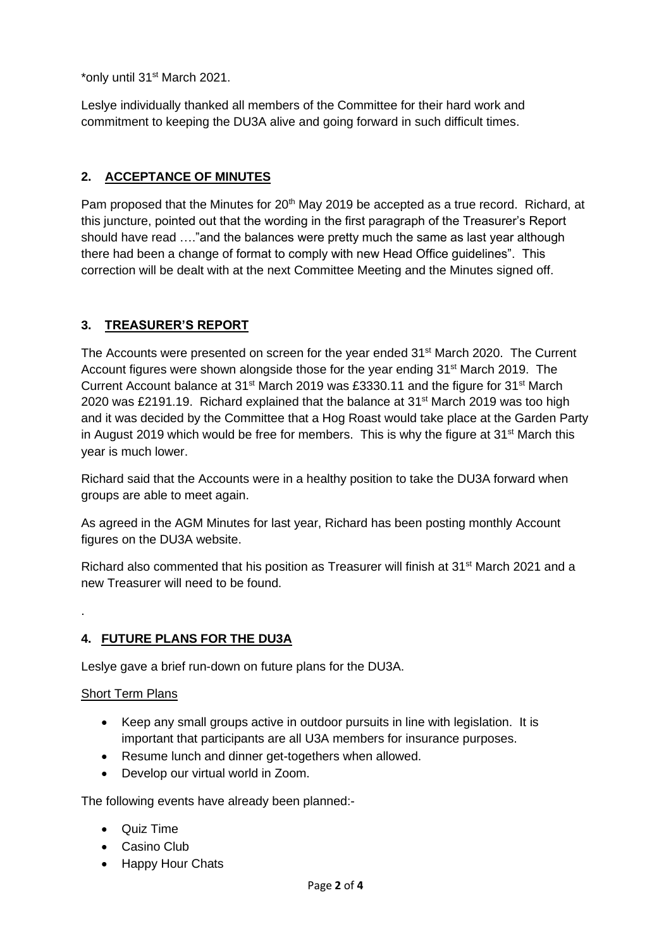\*only until 31st March 2021.

Leslye individually thanked all members of the Committee for their hard work and commitment to keeping the DU3A alive and going forward in such difficult times.

# **2. ACCEPTANCE OF MINUTES**

Pam proposed that the Minutes for 20<sup>th</sup> May 2019 be accepted as a true record. Richard, at this juncture, pointed out that the wording in the first paragraph of the Treasurer's Report should have read …."and the balances were pretty much the same as last year although there had been a change of format to comply with new Head Office guidelines". This correction will be dealt with at the next Committee Meeting and the Minutes signed off.

### **3. TREASURER'S REPORT**

The Accounts were presented on screen for the year ended 31<sup>st</sup> March 2020. The Current Account figures were shown alongside those for the year ending 31st March 2019. The Current Account balance at 31<sup>st</sup> March 2019 was £3330.11 and the figure for 31<sup>st</sup> March 2020 was £2191.19. Richard explained that the balance at  $31<sup>st</sup>$  March 2019 was too high and it was decided by the Committee that a Hog Roast would take place at the Garden Party in August 2019 which would be free for members. This is why the figure at  $31<sup>st</sup>$  March this year is much lower.

Richard said that the Accounts were in a healthy position to take the DU3A forward when groups are able to meet again.

As agreed in the AGM Minutes for last year, Richard has been posting monthly Account figures on the DU3A website.

Richard also commented that his position as Treasurer will finish at 31<sup>st</sup> March 2021 and a new Treasurer will need to be found.

## **4. FUTURE PLANS FOR THE DU3A**

Leslye gave a brief run-down on future plans for the DU3A.

Short Term Plans

.

- Keep any small groups active in outdoor pursuits in line with legislation. It is important that participants are all U3A members for insurance purposes.
- Resume lunch and dinner get-togethers when allowed.
- Develop our virtual world in Zoom.

The following events have already been planned:-

- Quiz Time
- Casino Club
- Happy Hour Chats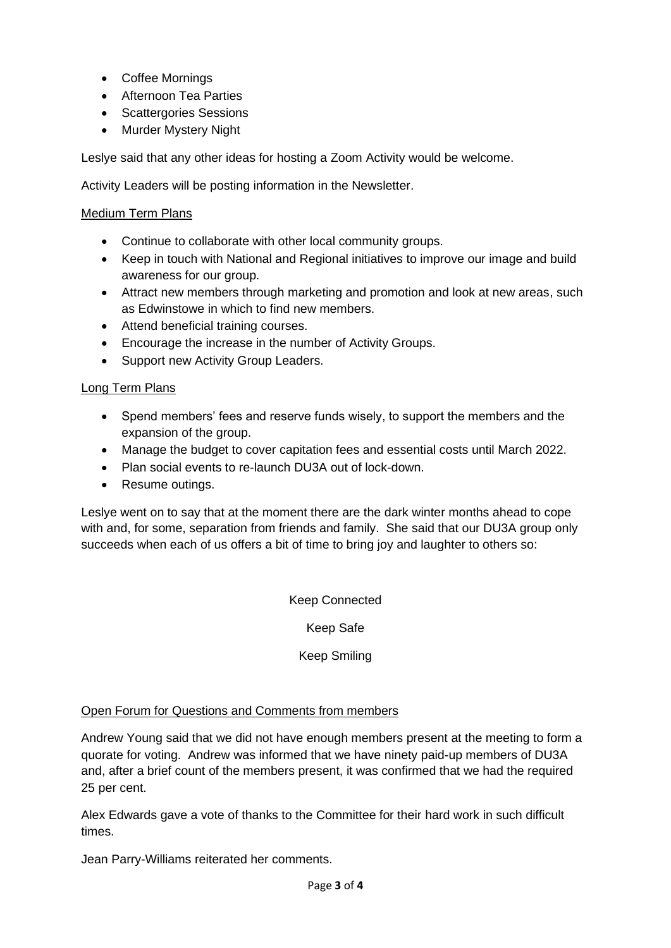- Coffee Mornings
- Afternoon Tea Parties
- Scattergories Sessions
- Murder Mystery Night

Leslye said that any other ideas for hosting a Zoom Activity would be welcome.

Activity Leaders will be posting information in the Newsletter.

#### Medium Term Plans

- Continue to collaborate with other local community groups.
- Keep in touch with National and Regional initiatives to improve our image and build awareness for our group.
- Attract new members through marketing and promotion and look at new areas, such as Edwinstowe in which to find new members.
- Attend beneficial training courses.
- Encourage the increase in the number of Activity Groups.
- Support new Activity Group Leaders.

#### Long Term Plans

- Spend members' fees and reserve funds wisely, to support the members and the expansion of the group.
- Manage the budget to cover capitation fees and essential costs until March 2022.
- Plan social events to re-launch DU3A out of lock-down.
- Resume outings.

Leslye went on to say that at the moment there are the dark winter months ahead to cope with and, for some, separation from friends and family. She said that our DU3A group only succeeds when each of us offers a bit of time to bring joy and laughter to others so:

Keep Connected

Keep Safe

Keep Smiling

#### Open Forum for Questions and Comments from members

Andrew Young said that we did not have enough members present at the meeting to form a quorate for voting. Andrew was informed that we have ninety paid-up members of DU3A and, after a brief count of the members present, it was confirmed that we had the required 25 per cent.

Alex Edwards gave a vote of thanks to the Committee for their hard work in such difficult times.

Jean Parry-Williams reiterated her comments.